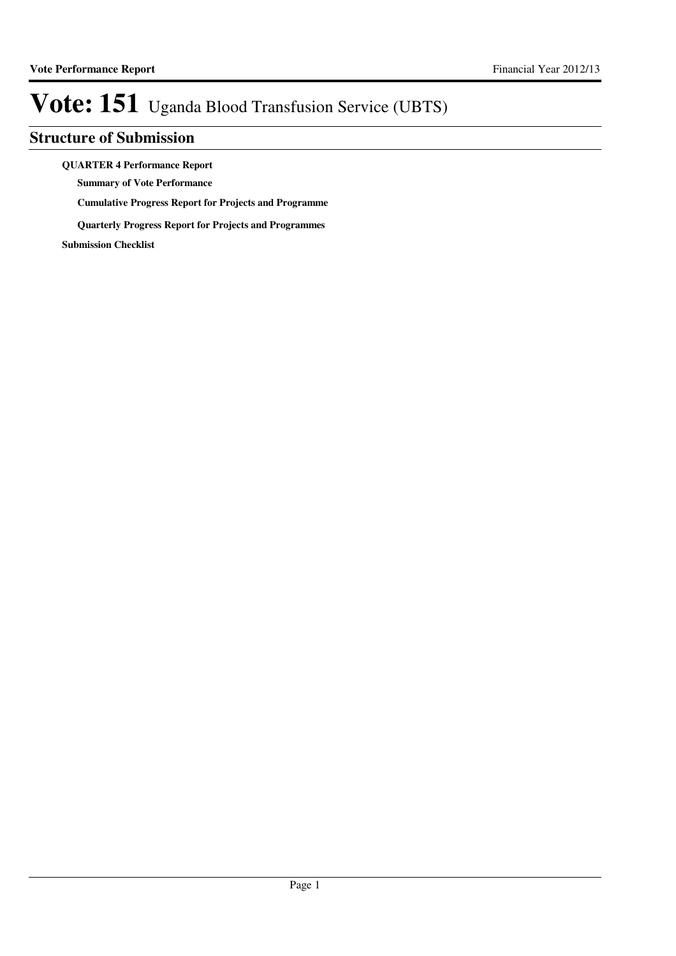### **Structure of Submission**

**QUARTER 4 Performance Report**

**Summary of Vote Performance**

**Cumulative Progress Report for Projects and Programme**

**Quarterly Progress Report for Projects and Programmes**

**Submission Checklist**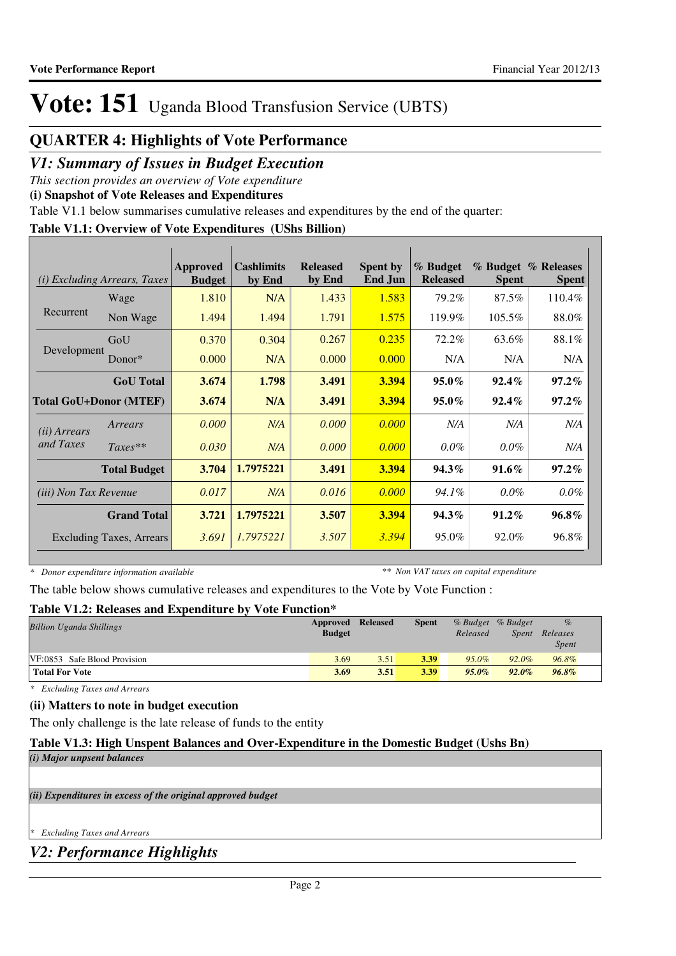### **QUARTER 4: Highlights of Vote Performance**

### *V1: Summary of Issues in Budget Execution*

*This section provides an overview of Vote expenditure* 

**(i) Snapshot of Vote Releases and Expenditures**

Table V1.1 below summarises cumulative releases and expenditures by the end of the quarter:

#### **Table V1.1: Overview of Vote Expenditures (UShs Billion)**

| (i)                          | <i>Excluding Arrears, Taxes</i> | Approved<br><b>Budget</b> | <b>Cashlimits</b><br>by End | <b>Released</b><br>by End | <b>Spent by</b><br><b>End Jun</b> | % Budget<br><b>Released</b> | <b>Spent</b> | % Budget % Releases<br><b>Spent</b> |
|------------------------------|---------------------------------|---------------------------|-----------------------------|---------------------------|-----------------------------------|-----------------------------|--------------|-------------------------------------|
|                              | Wage                            | 1.810                     | N/A                         | 1.433                     | 1.583                             | 79.2%                       | 87.5%        | 110.4%                              |
| Recurrent                    | Non Wage                        | 1.494                     | 1.494                       | 1.791                     | 1.575                             | 119.9%                      | $105.5\%$    | 88.0%                               |
|                              | GoU                             | 0.370                     | 0.304                       | 0.267                     | 0.235                             | 72.2%                       | 63.6%        | 88.1%                               |
| Development                  | Donor $*$                       | 0.000                     | N/A                         | 0.000                     | 0.000                             | N/A                         | N/A          | N/A                                 |
|                              | <b>GoU</b> Total                | 3.674                     | 1.798                       | 3.491                     | 3.394                             | $95.0\%$                    | $92.4\%$     | $97.2\%$                            |
|                              | <b>Total GoU+Donor (MTEF)</b>   | 3.674                     | N/A                         | 3.491                     | 3.394                             | $95.0\%$                    | $92.4\%$     | $97.2\%$                            |
| (ii) Arrears                 | Arrears                         | 0.000                     | N/A                         | 0.000                     | 0.000                             | N/A                         | N/A          | N/A                                 |
| and Taxes                    | $Taxes**$                       | 0.030                     | N/A                         | 0.000                     | 0.000                             | $0.0\%$                     | $0.0\%$      | N/A                                 |
|                              | <b>Total Budget</b>             | 3.704                     | 1.7975221                   | 3.491                     | 3.394                             | 94.3%                       | $91.6\%$     | $97.2\%$                            |
| <i>(iii)</i> Non Tax Revenue |                                 | 0.017                     | N/A                         | 0.016                     | 0.000                             | 94.1%                       | $0.0\%$      | $0.0\%$                             |
|                              | <b>Grand Total</b>              | 3.721                     | 1.7975221                   | 3.507                     | 3.394                             | $94.3\%$                    | $91.2\%$     | $96.8\%$                            |
|                              | <b>Excluding Taxes, Arrears</b> | 3.691                     | 1.7975221                   | 3.507                     | 3.394                             | 95.0%                       | 92.0%        | 96.8%                               |

*\* Donor expenditure information available*

*\*\* Non VAT taxes on capital expenditure*

The table below shows cumulative releases and expenditures to the Vote by Vote Function :

#### **Table V1.2: Releases and Expenditure by Vote Function\***

| <b>Billion Uganda Shillings</b> | Approved Released<br><b>Budget</b> |      | <b>Spent</b> | Released | % Budget % Budget<br>Spent | $\%$<br>Releases<br><i>Spent</i> |
|---------------------------------|------------------------------------|------|--------------|----------|----------------------------|----------------------------------|
| VF:0853 Safe Blood Provision    | 3.69                               | 3.51 | 3.39         | $95.0\%$ | 92.0%                      | 96.8%                            |
| <b>Total For Vote</b>           | 3.69                               | 3.51 | 3.39         | $95.0\%$ | $92.0\%$                   | $96.8\%$                         |

*\* Excluding Taxes and Arrears*

#### **(ii) Matters to note in budget execution**

The only challenge is the late release of funds to the entity

#### **Table V1.3: High Unspent Balances and Over-Expenditure in the Domestic Budget (Ushs Bn)**

|  |  |  | (i) Major unpsent balances |
|--|--|--|----------------------------|
|--|--|--|----------------------------|

*(ii) Expenditures in excess of the original approved budget*

*\* Excluding Taxes and Arrears*

*V2: Performance Highlights*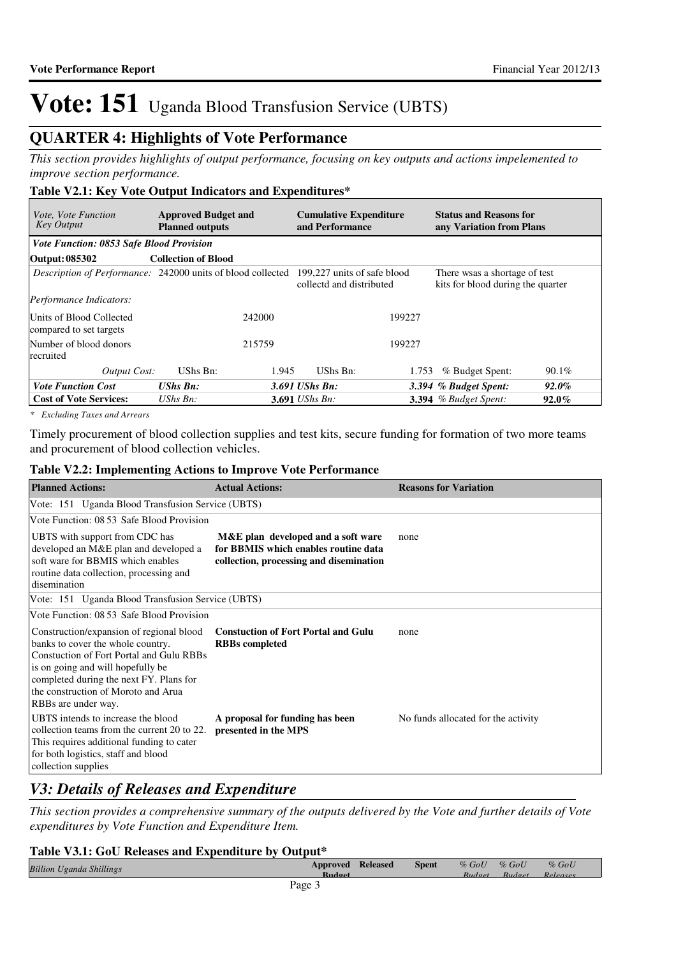### **QUARTER 4: Highlights of Vote Performance**

*This section provides highlights of output performance, focusing on key outputs and actions impelemented to improve section performance.*

#### **Table V2.1: Key Vote Output Indicators and Expenditures\***

| <i>Vote, Vote Function</i><br><b>Key Output</b>                                                | <b>Approved Budget and</b><br><b>Planned outputs</b> |        | <b>Cumulative Expenditure</b><br>and Performance |        | <b>Status and Reasons for</b><br>any Variation from Plans          |          |
|------------------------------------------------------------------------------------------------|------------------------------------------------------|--------|--------------------------------------------------|--------|--------------------------------------------------------------------|----------|
| <b>Vote Function: 0853 Safe Blood Provision</b>                                                |                                                      |        |                                                  |        |                                                                    |          |
| Output: 085302                                                                                 | <b>Collection of Blood</b>                           |        |                                                  |        |                                                                    |          |
| <i>Description of Performance:</i> 242000 units of blood collected 199,227 units of safe blood |                                                      |        | collectd and distributed                         |        | There wsas a shortage of test<br>kits for blood during the quarter |          |
| <i>Performance Indicators:</i>                                                                 |                                                      |        |                                                  |        |                                                                    |          |
| Units of Blood Collected<br>compared to set targets                                            |                                                      | 242000 |                                                  | 199227 |                                                                    |          |
| Number of blood donors<br>recruited                                                            |                                                      | 215759 |                                                  | 199227 |                                                                    |          |
| Output Cost:                                                                                   | UShs Bn:                                             | 1.945  | UShs Bn:                                         | 1.753  | % Budget Spent:                                                    | 90.1%    |
| <b>Vote Function Cost</b>                                                                      | <b>UShs Bn:</b>                                      |        | $3.691$ UShs Bn:                                 |        | 3.394 % Budget Spent:                                              | $92.0\%$ |
| <b>Cost of Vote Services:</b>                                                                  | UShs $B_n$ :                                         |        | <b>3.691</b> <i>UShs Bn:</i>                     |        | <b>3.394</b> % Budget Spent:                                       | $92.0\%$ |

*\* Excluding Taxes and Arrears*

Timely procurement of blood collection supplies and test kits, secure funding for formation of two more teams and procurement of blood collection vehicles.

#### **Table V2.2: Implementing Actions to Improve Vote Performance**

| <b>Planned Actions:</b>                                                                                                                                                                                                                                                        | <b>Actual Actions:</b>                                                                                                | <b>Reasons for Variation</b>        |
|--------------------------------------------------------------------------------------------------------------------------------------------------------------------------------------------------------------------------------------------------------------------------------|-----------------------------------------------------------------------------------------------------------------------|-------------------------------------|
| Vote: 151 Uganda Blood Transfusion Service (UBTS)                                                                                                                                                                                                                              |                                                                                                                       |                                     |
| Vote Function: 08 53 Safe Blood Provision                                                                                                                                                                                                                                      |                                                                                                                       |                                     |
| UBTS with support from CDC has<br>developed an M&E plan and developed a<br>soft ware for BBMIS which enables<br>routine data collection, processing and<br>disemination                                                                                                        | M&E plan developed and a soft ware<br>for BBMIS which enables routine data<br>collection, processing and disemination | none                                |
| Vote: 151 Uganda Blood Transfusion Service (UBTS)                                                                                                                                                                                                                              |                                                                                                                       |                                     |
| Vote Function: 08 53 Safe Blood Provision                                                                                                                                                                                                                                      |                                                                                                                       |                                     |
| Construction/expansion of regional blood<br>banks to cover the whole country.<br><b>Constuction of Fort Portal and Gulu RBBs</b><br>is on going and will hopefully be<br>completed during the next FY. Plans for<br>the construction of Moroto and Arua<br>RBBs are under way. | <b>Constuction of Fort Portal and Gulu</b><br><b>RBBs</b> completed                                                   | none                                |
| UBTS intends to increase the blood<br>collection teams from the current 20 to 22.<br>This requires additional funding to cater<br>for both logistics, staff and blood<br>collection supplies                                                                                   | A proposal for funding has been<br>presented in the MPS                                                               | No funds allocated for the activity |

### *V3: Details of Releases and Expenditure*

*This section provides a comprehensive summary of the outputs delivered by the Vote and further details of Vote expenditures by Vote Function and Expenditure Item.*

#### **Table V3.1: GoU Releases and Expenditure by Output\***

| <b>Billion Uganda Shillings</b> |   | Approved      | <b>Released</b> | Spent | $\%$ GoU | $%$ GoU  | $%$ GoU   |  |
|---------------------------------|---|---------------|-----------------|-------|----------|----------|-----------|--|
|                                 |   | <b>Rudget</b> |                 |       | Rudget   | Rudaet   | Polograph |  |
|                                 | . | ---------     |                 |       | -------  | -------- | ________  |  |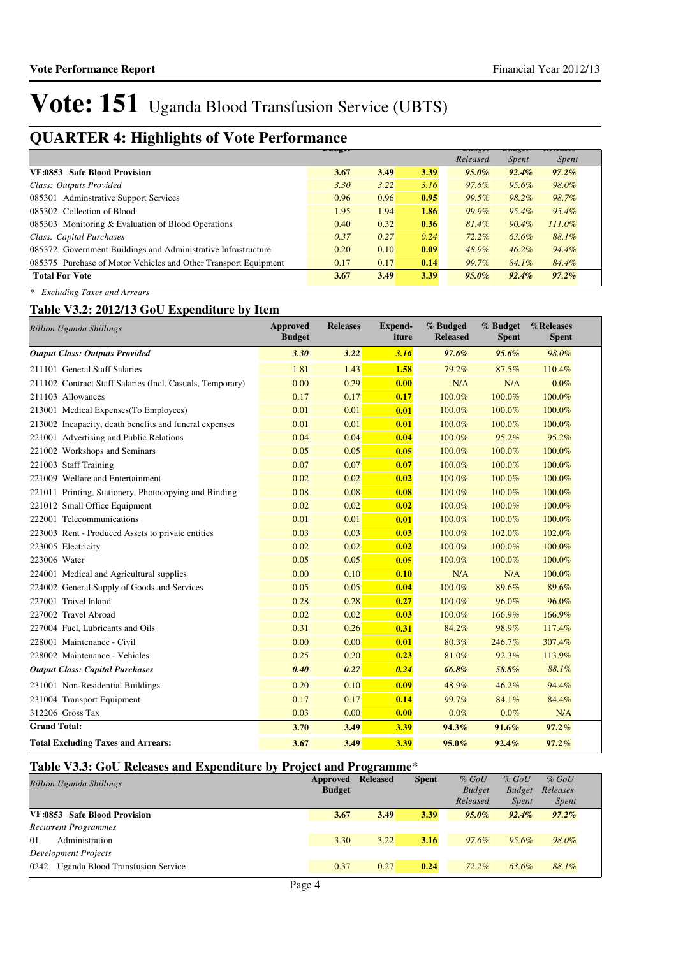## **QUARTER 4: Highlights of Vote Performance Budget**

| ີ<br>ັ                                                          | <del>nauget</del> |      |      | $H^{\text{Hilg}}$ | <del>ошихе</del> | ncicula      |
|-----------------------------------------------------------------|-------------------|------|------|-------------------|------------------|--------------|
|                                                                 |                   |      |      | Released          | <i>Spent</i>     | <i>Spent</i> |
| VF:0853 Safe Blood Provision                                    | 3.67              | 3.49 | 3.39 | $95.0\%$          | $92.4\%$         | $97.2\%$     |
| Class: Outputs Provided                                         | 3.30              | 3.22 | 3.16 | 97.6%             | 95.6%            | 98.0%        |
| 085301 Adminstrative Support Services                           | 0.96              | 0.96 | 0.95 | 99.5%             | 98.2%            | 98.7%        |
| 085302 Collection of Blood                                      | 1.95              | 1.94 | 1.86 | 99.9%             | 95.4%            | $95.4\%$     |
| 085303 Monitoring & Evaluation of Blood Operations              | 0.40              | 0.32 | 0.36 | $81.4\%$          | $90.4\%$         | $111.0\%$    |
| Class: Capital Purchases                                        | 0.37              | 0.27 | 0.24 | 72.2%             | 63.6%            | 88.1%        |
| 085372 Government Buildings and Administrative Infrastructure   | 0.20              | 0.10 | 0.09 | 48.9%             | $46.2\%$         | 94.4%        |
| 085375 Purchase of Motor Vehicles and Other Transport Equipment | 0.17              | 0.17 | 0.14 | 99.7%             | 84.1%            | 84.4%        |
| <b>Total For Vote</b>                                           | 3.67              | 3.49 | 3.39 | $95.0\%$          | $92.4\%$         | $97.2\%$     |

*\* Excluding Taxes and Arrears*

### **Table V3.2: 2012/13 GoU Expenditure by Item**

| <b>Billion Uganda Shillings</b>                           | <b>Approved</b><br><b>Budget</b> | <b>Releases</b> | <b>Expend-</b><br>iture | % Budged<br><b>Released</b> | % Budget<br><b>Spent</b> | %Releases<br><b>Spent</b> |
|-----------------------------------------------------------|----------------------------------|-----------------|-------------------------|-----------------------------|--------------------------|---------------------------|
| <b>Output Class: Outputs Provided</b>                     | 3.30                             | 3.22            | 3.16                    | 97.6%                       | 95.6%                    | 98.0%                     |
| 211101 General Staff Salaries                             | 1.81                             | 1.43            | 1.58                    | 79.2%                       | 87.5%                    | 110.4%                    |
| 211102 Contract Staff Salaries (Incl. Casuals, Temporary) | 0.00                             | 0.29            | 0.00                    | N/A                         | N/A                      | $0.0\%$                   |
| 211103 Allowances                                         | 0.17                             | 0.17            | 0.17                    | 100.0%                      | 100.0%                   | 100.0%                    |
| 213001 Medical Expenses (To Employees)                    | 0.01                             | 0.01            | 0.01                    | 100.0%                      | 100.0%                   | 100.0%                    |
| 213002 Incapacity, death benefits and funeral expenses    | 0.01                             | 0.01            | 0.01                    | 100.0%                      | 100.0%                   | 100.0%                    |
| 221001 Advertising and Public Relations                   | 0.04                             | 0.04            | 0.04                    | 100.0%                      | 95.2%                    | 95.2%                     |
| 221002 Workshops and Seminars                             | 0.05                             | 0.05            | 0.05                    | 100.0%                      | 100.0%                   | 100.0%                    |
| 221003 Staff Training                                     | 0.07                             | 0.07            | 0.07                    | 100.0%                      | 100.0%                   | 100.0%                    |
| 221009 Welfare and Entertainment                          | 0.02                             | 0.02            | 0.02                    | 100.0%                      | 100.0%                   | 100.0%                    |
| 221011 Printing, Stationery, Photocopying and Binding     | 0.08                             | 0.08            | 0.08                    | 100.0%                      | 100.0%                   | 100.0%                    |
| 221012 Small Office Equipment                             | 0.02                             | 0.02            | 0.02                    | 100.0%                      | 100.0%                   | 100.0%                    |
| 222001 Telecommunications                                 | 0.01                             | 0.01            | 0.01                    | 100.0%                      | 100.0%                   | 100.0%                    |
| 223003 Rent - Produced Assets to private entities         | 0.03                             | 0.03            | 0.03                    | 100.0%                      | 102.0%                   | 102.0%                    |
| 223005 Electricity                                        | 0.02                             | 0.02            | 0.02                    | 100.0%                      | 100.0%                   | 100.0%                    |
| 223006 Water                                              | 0.05                             | 0.05            | 0.05                    | 100.0%                      | 100.0%                   | 100.0%                    |
| 224001 Medical and Agricultural supplies                  | 0.00                             | 0.10            | 0.10                    | N/A                         | N/A                      | 100.0%                    |
| 224002 General Supply of Goods and Services               | 0.05                             | 0.05            | 0.04                    | 100.0%                      | 89.6%                    | 89.6%                     |
| 227001 Travel Inland                                      | 0.28                             | 0.28            | 0.27                    | 100.0%                      | 96.0%                    | 96.0%                     |
| 227002 Travel Abroad                                      | 0.02                             | 0.02            | 0.03                    | 100.0%                      | 166.9%                   | 166.9%                    |
| 227004 Fuel, Lubricants and Oils                          | 0.31                             | 0.26            | 0.31                    | 84.2%                       | 98.9%                    | 117.4%                    |
| 228001 Maintenance - Civil                                | 0.00                             | 0.00            | 0.01                    | 80.3%                       | 246.7%                   | 307.4%                    |
| 228002 Maintenance - Vehicles                             | 0.25                             | 0.20            | 0.23                    | 81.0%                       | 92.3%                    | 113.9%                    |
| <b>Output Class: Capital Purchases</b>                    | 0.40                             | 0.27            | 0.24                    | 66.8%                       | 58.8%                    | 88.1%                     |
| 231001 Non-Residential Buildings                          | 0.20                             | 0.10            | 0.09                    | 48.9%                       | 46.2%                    | 94.4%                     |
| 231004 Transport Equipment                                | 0.17                             | 0.17            | 0.14                    | 99.7%                       | 84.1%                    | 84.4%                     |
| 312206 Gross Tax                                          | 0.03                             | 0.00            | 0.00                    | $0.0\%$                     | $0.0\%$                  | N/A                       |
| <b>Grand Total:</b>                                       | 3.70                             | 3.49            | 3.39                    | 94.3%                       | 91.6%                    | 97.2%                     |
| <b>Total Excluding Taxes and Arrears:</b>                 | 3.67                             | 3.49            | 3.39                    | 95.0%                       | 92.4%                    | $97.2\%$                  |

### **Table V3.3: GoU Releases and Expenditure by Project and Programme\***

| <b>Billion Uganda Shillings</b>          | Approved      | <b>Released</b> | <b>Spent</b> | $%$ GoU       | $%$ GoU       | $%$ GoU      |  |
|------------------------------------------|---------------|-----------------|--------------|---------------|---------------|--------------|--|
|                                          | <b>Budget</b> |                 |              | <b>Budget</b> | <b>Budget</b> | Releases     |  |
|                                          |               |                 |              | Released      | <i>Spent</i>  | <i>Spent</i> |  |
| VF:0853 Safe Blood Provision             | 3.67          | 3.49            | 3.39         | $95.0\%$      | $92.4\%$      | $97.2\%$     |  |
| <b>Recurrent Programmes</b>              |               |                 |              |               |               |              |  |
| Administration<br>$\overline{01}$        | 3.30          | 3.22            | 3.16         | 97.6%         | 95.6%         | 98.0%        |  |
| Development Projects                     |               |                 |              |               |               |              |  |
| Uganda Blood Transfusion Service<br>0242 | 0.37          | 0.27            | 0.24         | $72.2\%$      | 63.6%         | 88.1%        |  |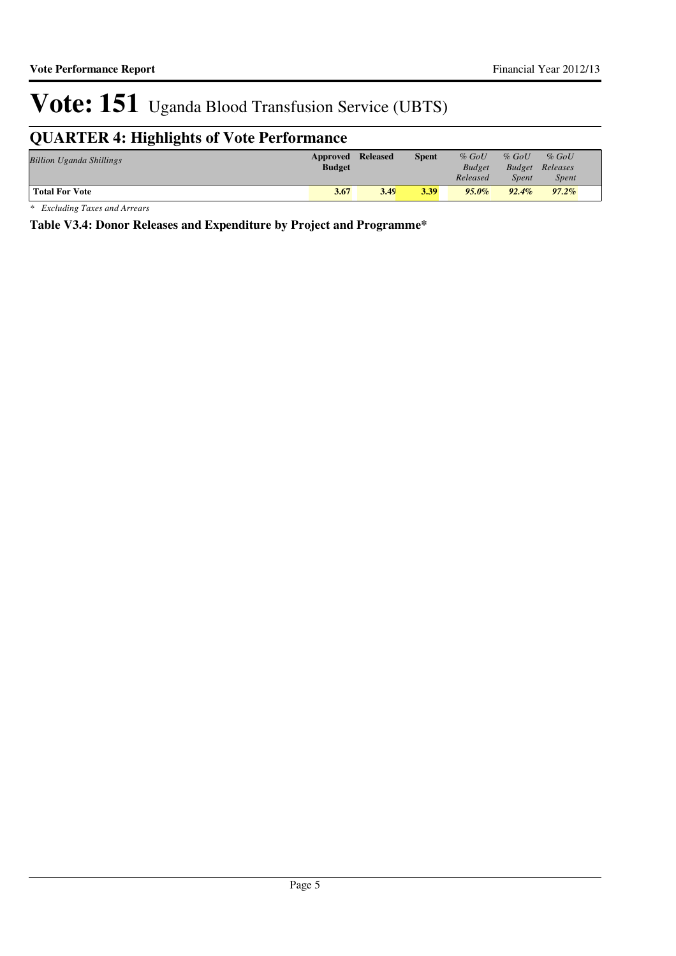## **QUARTER 4: Highlights of Vote Performance**

| <b>Billion Uganda Shillings</b> | Approved Released<br><b>Budget</b> |      | <b>Spent</b> | $%$ GoU<br><b>Budget</b><br>Released | $%$ GoU<br><b>Spent</b> | $%$ GoU<br><b>Budget</b> Releases<br><i>Spent</i> |  |
|---------------------------------|------------------------------------|------|--------------|--------------------------------------|-------------------------|---------------------------------------------------|--|
| <b>Total For Vote</b>           | 3.67                               | 3.49 | 3.39         | $95.0\%$                             | $92.4\%$                | $97.2\%$                                          |  |

*\* Excluding Taxes and Arrears*

**Table V3.4: Donor Releases and Expenditure by Project and Programme\***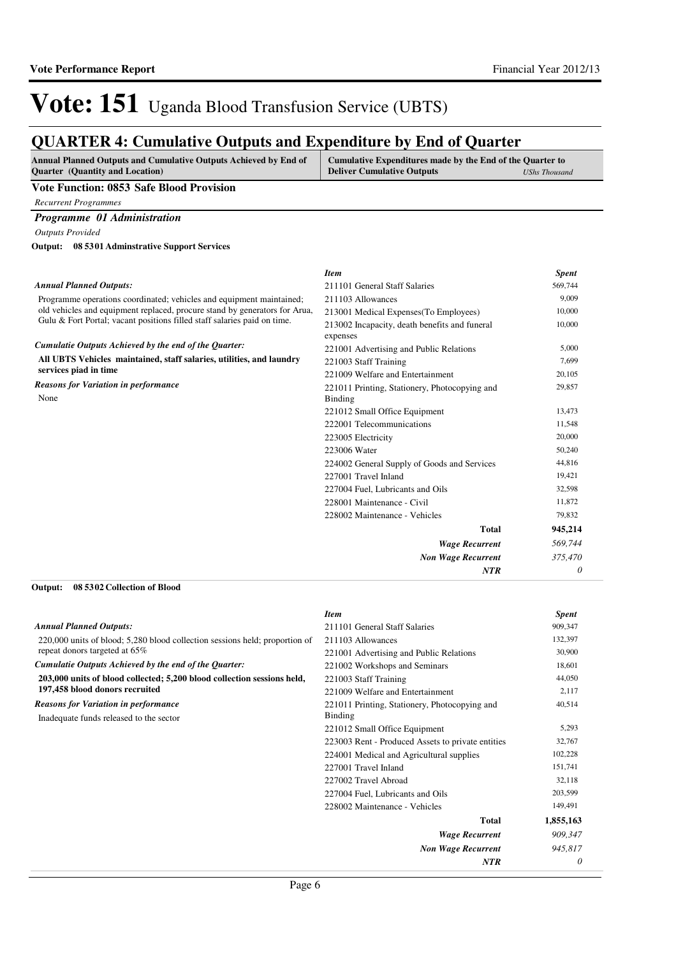### **QUARTER 4: Cumulative Outputs and Expenditure by End of Quarter**

| <b>Annual Planned Outputs and Cumulative Outputs Achieved by End of</b> | Cumulative Expenditures made by the End of the Quarter to |                      |
|-------------------------------------------------------------------------|-----------------------------------------------------------|----------------------|
| <b>Ouarter</b> (Quantity and Location)                                  | <b>Deliver Cumulative Outputs</b>                         | <b>UShs Thousand</b> |
|                                                                         |                                                           |                      |

#### **Vote Function: 0853 Safe Blood Provision**

*Recurrent Programmes*

#### *Programme 01 Administration*

*Outputs Provided*

**08 5301 Adminstrative Support Services Output:**

#### *Annual Planned Outputs:*

Programme operations coordinated; vehicles and equipment maintained; old vehicles and equipment replaced, procure stand by generators for Arua, Gulu & Fort Portal; vacant positions filled staff salaries paid on time.

#### *Cumulatie Outputs Achieved by the end of the Quarter:*

**All UBTS Vehicles maintained, staff salaries, utilities, and laundry services piad in time**

*Reasons for Variation in performance*

None

| <b>Item</b>                                   | <b>Spent</b> |
|-----------------------------------------------|--------------|
| 211101 General Staff Salaries                 | 569,744      |
| 211103 Allowances                             | 9,009        |
| 213001 Medical Expenses (To Employees)        | 10,000       |
| 213002 Incapacity, death benefits and funeral | 10,000       |
| expenses                                      |              |
| 221001 Advertising and Public Relations       | 5,000        |
| 221003 Staff Training                         | 7,699        |
| 221009 Welfare and Entertainment              | 20,105       |
| 221011 Printing, Stationery, Photocopying and | 29,857       |
| <b>Binding</b>                                |              |
| 221012 Small Office Equipment                 | 13,473       |
| 222001 Telecommunications                     | 11,548       |
| 223005 Electricity                            | 20,000       |
| 223006 Water                                  | 50,240       |
| 224002 General Supply of Goods and Services   | 44,816       |
| 227001 Travel Inland                          | 19,421       |
| 227004 Fuel, Lubricants and Oils              | 32,598       |
| 228001 Maintenance - Civil                    | 11,872       |
| 228002 Maintenance - Vehicles                 | 79,832       |
| Total                                         | 945,214      |
| <b>Wage Recurrent</b>                         | 569,744      |
| <b>Non Wage Recurrent</b>                     | 375,470      |
| NTR                                           | 0            |

**08 5302 Collection of Blood Output:**

|                                                                             | <b>Item</b>                                       | <b>Spent</b> |
|-----------------------------------------------------------------------------|---------------------------------------------------|--------------|
| <b>Annual Planned Outputs:</b>                                              | 211101 General Staff Salaries                     | 909,347      |
| 220,000 units of blood; 5,280 blood collection sessions held; proportion of | 211103 Allowances                                 | 132,397      |
| repeat donors targeted at 65%                                               | 221001 Advertising and Public Relations           | 30,900       |
| Cumulatie Outputs Achieved by the end of the Quarter:                       | 221002 Workshops and Seminars                     | 18,601       |
| 203,000 units of blood collected; 5,200 blood collection sessions held,     | 221003 Staff Training                             | 44,050       |
| 197,458 blood donors recruited                                              | 221009 Welfare and Entertainment                  | 2,117        |
| <b>Reasons for Variation in performance</b>                                 | 221011 Printing, Stationery, Photocopying and     | 40,514       |
| Inadequate funds released to the sector                                     | Binding                                           |              |
|                                                                             | 221012 Small Office Equipment                     | 5,293        |
|                                                                             | 223003 Rent - Produced Assets to private entities | 32,767       |
|                                                                             | 224001 Medical and Agricultural supplies          | 102,228      |
|                                                                             | 227001 Travel Inland                              | 151,741      |
|                                                                             | 227002 Travel Abroad                              | 32,118       |
|                                                                             | 227004 Fuel, Lubricants and Oils                  | 203,599      |
|                                                                             | 228002 Maintenance - Vehicles                     | 149,491      |
|                                                                             | <b>Total</b>                                      | 1,855,163    |
|                                                                             | <b>Wage Recurrent</b>                             | 909,347      |
|                                                                             | <b>Non Wage Recurrent</b>                         | 945,817      |
|                                                                             | <b>NTR</b>                                        | 0            |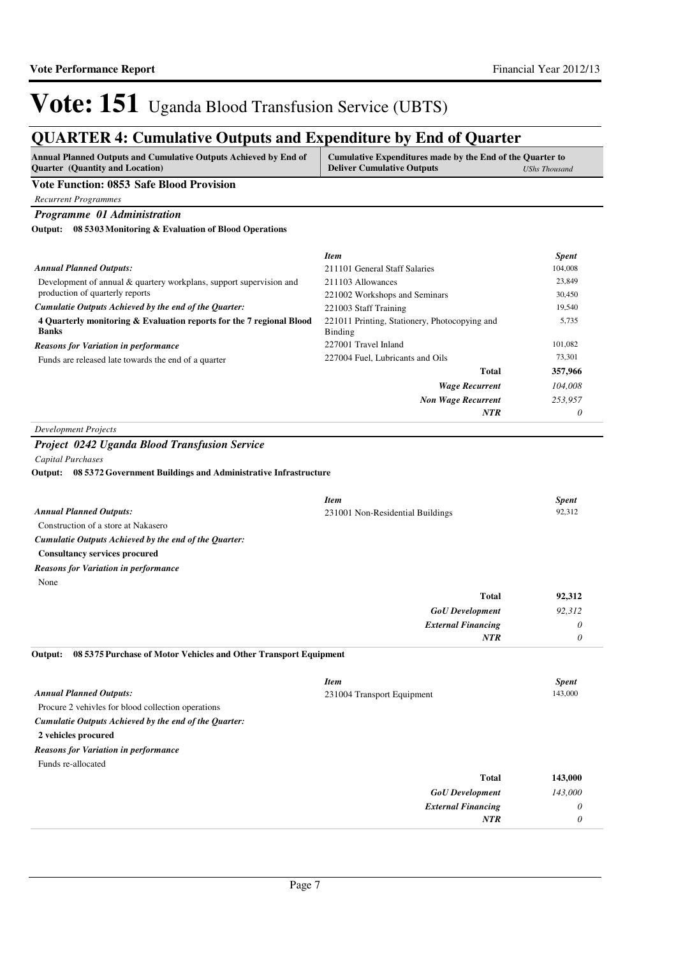### **QUARTER 4: Cumulative Outputs and Expenditure by End of Quarter**

| <b>Annual Planned Outputs and Cumulative Outputs Achieved by End of</b> | Cumulative Expenditures made by the End of the Quarter to |               |
|-------------------------------------------------------------------------|-----------------------------------------------------------|---------------|
| <b>Ouarter</b> (Quantity and Location)                                  | <b>Deliver Cumulative Outputs</b>                         | UShs Thousand |
| ___<br>---- - - -- - - -                                                |                                                           |               |

#### **Vote Function: 0853 Safe Blood Provision**

*Recurrent Programmes*

*Programme 01 Administration*

**08 5303 Monitoring & Evaluation of Blood Operations Output:**

|                                                                                      | <b>Item</b>                                              | <b>Spent</b> |
|--------------------------------------------------------------------------------------|----------------------------------------------------------|--------------|
| <b>Annual Planned Outputs:</b>                                                       | 211101 General Staff Salaries                            | 104,008      |
| Development of annual & quartery workplans, support supervision and                  | 211103 Allowances                                        | 23,849       |
| production of quarterly reports                                                      | 221002 Workshops and Seminars                            | 30,450       |
| Cumulatie Outputs Achieved by the end of the Ouarter:                                | 221003 Staff Training                                    | 19,540       |
| 4 Ouarterly monitoring & Evaluation reports for the 7 regional Blood<br><b>Banks</b> | 221011 Printing, Stationery, Photocopying and<br>Binding | 5,735        |
| <b>Reasons for Variation in performance</b>                                          | 227001 Travel Inland                                     | 101,082      |
| Funds are released late towards the end of a quarter                                 | 227004 Fuel, Lubricants and Oils                         | 73,301       |
|                                                                                      | Total                                                    | 357,966      |
|                                                                                      | <b>Wage Recurrent</b>                                    | 104,008      |
|                                                                                      | <b>Non Wage Recurrent</b>                                | 253.957      |
|                                                                                      | <b>NTR</b>                                               | 0            |

#### *Development Projects*

#### *Project 0242 Uganda Blood Transfusion Service*

*Capital Purchases*

**08 5372 Government Buildings and Administrative Infrastructure Output:**

|                                                                             | <b>Item</b>                      | <b>Spent</b> |
|-----------------------------------------------------------------------------|----------------------------------|--------------|
| <b>Annual Planned Outputs:</b>                                              | 231001 Non-Residential Buildings | 92,312       |
| Construction of a store at Nakasero                                         |                                  |              |
| Cumulatie Outputs Achieved by the end of the Quarter:                       |                                  |              |
| <b>Consultancy services procured</b>                                        |                                  |              |
| <b>Reasons for Variation in performance</b>                                 |                                  |              |
| None                                                                        |                                  |              |
|                                                                             | Total                            | 92,312       |
|                                                                             | <b>GoU</b> Development           | 92,312       |
|                                                                             | <b>External Financing</b>        | $\theta$     |
|                                                                             | <b>NTR</b>                       | 0            |
| 08 5375 Purchase of Motor Vehicles and Other Transport Equipment<br>Output: |                                  |              |
|                                                                             | <b>Item</b>                      | <b>Spent</b> |
| <b>Annual Planned Outputs:</b>                                              | 231004 Transport Equipment       | 143,000      |

Procure 2 vehivles for blood collection operations

*Cumulatie Outputs Achieved by the end of the Quarter:*

**2 vehicles procured**

*Reasons for Variation in performance*

Funds re-allocated

| 143,000 | <b>Total</b>              |
|---------|---------------------------|
| 143,000 | <b>GoU</b> Development    |
|         | <b>External Financing</b> |
|         | <b>NTR</b>                |
|         |                           |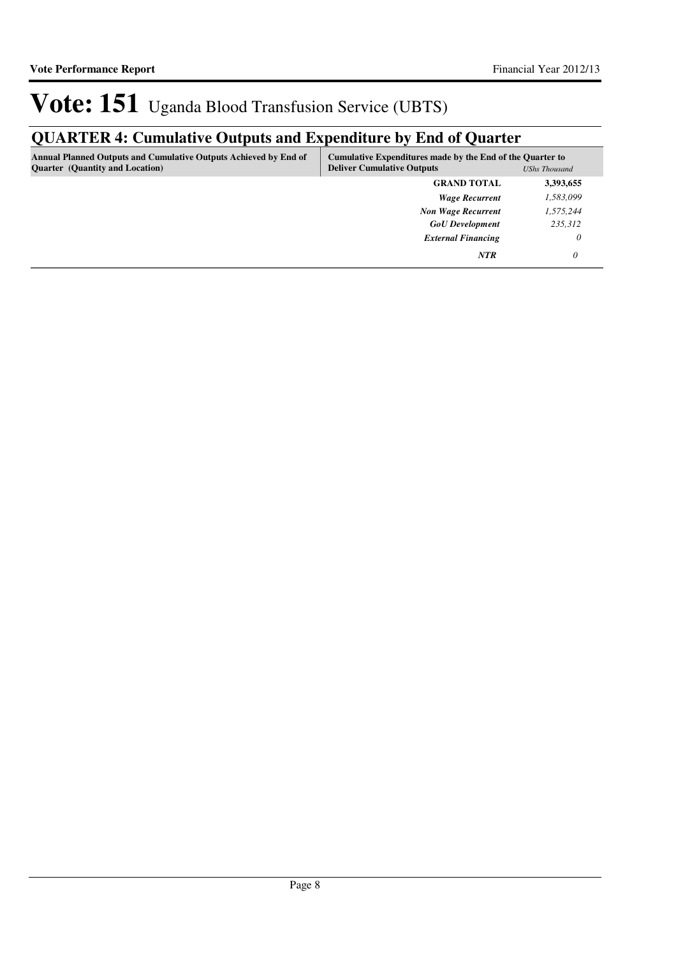## **QUARTER 4: Cumulative Outputs and Expenditure by End of Quarter**

| <b>Annual Planned Outputs and Cumulative Outputs Achieved by End of</b><br><b>Quarter</b> (Quantity and Location) | Cumulative Expenditures made by the End of the Quarter to<br><b>Deliver Cumulative Outputs</b><br><b>UShs Thousand</b> |           |
|-------------------------------------------------------------------------------------------------------------------|------------------------------------------------------------------------------------------------------------------------|-----------|
|                                                                                                                   | <b>GRAND TOTAL</b>                                                                                                     | 3,393,655 |
|                                                                                                                   | <b>Wage Recurrent</b>                                                                                                  | 1,583,099 |
|                                                                                                                   | <b>Non Wage Recurrent</b>                                                                                              | 1,575,244 |
|                                                                                                                   | <b>GoU</b> Development                                                                                                 | 235,312   |
|                                                                                                                   | <b>External Financing</b>                                                                                              | 0         |
|                                                                                                                   | <b>NTR</b>                                                                                                             | 0         |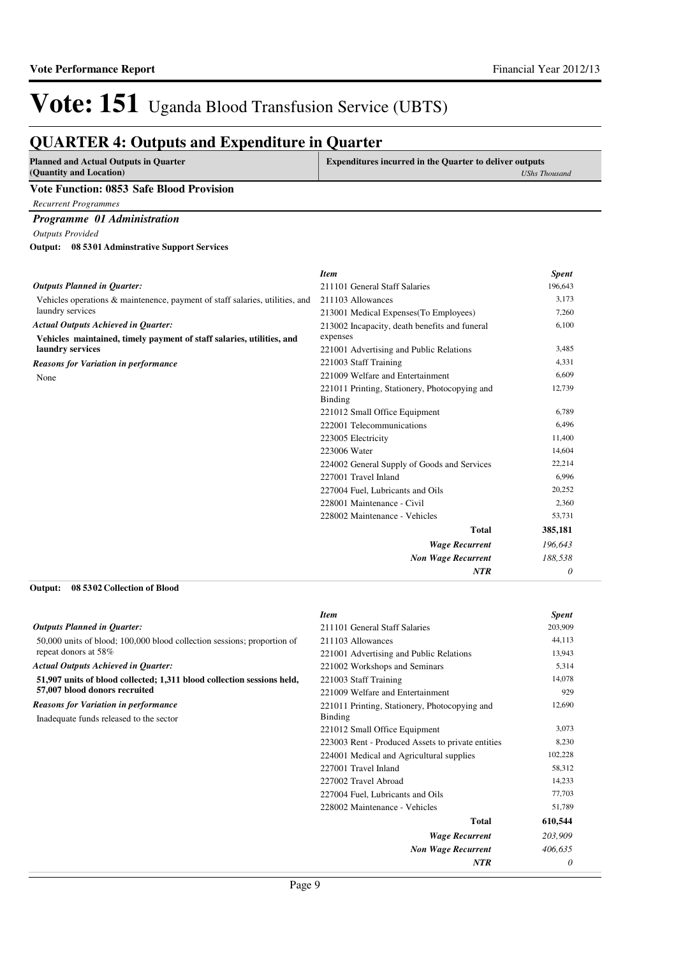## Vote: 151 Uganda Blood Transfusion Service (UBTS)

### **QUARTER 4: Outputs and Expenditure in Quarter**

| <b>Planned and Actual Outputs in Quarter</b><br>(Quantity and Location)      | <b>Expenditures incurred in the Quarter to deliver outputs</b> | <b>UShs Thousand</b> |
|------------------------------------------------------------------------------|----------------------------------------------------------------|----------------------|
| Vote Function: 0853 Safe Blood Provision                                     |                                                                |                      |
| <b>Recurrent Programmes</b>                                                  |                                                                |                      |
| Programme 01 Administration                                                  |                                                                |                      |
| <b>Outputs Provided</b>                                                      |                                                                |                      |
| 08 5301 Adminstrative Support Services<br>Output:                            |                                                                |                      |
|                                                                              | <b>Item</b>                                                    | <b>Spent</b>         |
| <b>Outputs Planned in Ouarter:</b>                                           | 211101 General Staff Salaries                                  | 196,643              |
| Vehicles operations & maintenence, payment of staff salaries, utilities, and | 211103 Allowances                                              | 3,173                |
| laundry services                                                             | 213001 Medical Expenses (To Employees)                         | 7.260                |

*Actual Outputs Achieved in Quarter:*

**Vehicles maintained, tir laundry services**

None *Reasons for Variation in p* 

| untenence, payment of staff salaries, utilities, and | 211103 Allowances                                        | 3,1/3    |
|------------------------------------------------------|----------------------------------------------------------|----------|
|                                                      | 213001 Medical Expenses (To Employees)                   | 7,260    |
| in Quarter:                                          | 213002 Incapacity, death benefits and funeral            | 6,100    |
| nely payment of staff salaries, utilities, and       | expenses                                                 |          |
|                                                      | 221001 Advertising and Public Relations                  | 3,485    |
| performance                                          | 221003 Staff Training                                    | 4,331    |
|                                                      | 221009 Welfare and Entertainment                         | 6,609    |
|                                                      | 221011 Printing, Stationery, Photocopying and<br>Binding | 12,739   |
|                                                      | 221012 Small Office Equipment                            | 6,789    |
|                                                      | 222001 Telecommunications                                | 6,496    |
|                                                      | 223005 Electricity                                       | 11,400   |
|                                                      | 223006 Water                                             | 14,604   |
|                                                      | 224002 General Supply of Goods and Services              | 22,214   |
|                                                      | 227001 Travel Inland                                     | 6,996    |
|                                                      | 227004 Fuel, Lubricants and Oils                         | 20,252   |
|                                                      | 228001 Maintenance - Civil                               | 2,360    |
|                                                      | 228002 Maintenance - Vehicles                            | 53,731   |
|                                                      | <b>Total</b>                                             | 385,181  |
|                                                      | <b>Wage Recurrent</b>                                    | 196,643  |
|                                                      | <b>Non Wage Recurrent</b>                                | 188,538  |
|                                                      | <b>NTR</b>                                               | $\theta$ |
| tion of Blood                                        |                                                          |          |

#### **08 5302 Collection of Blood Output:**

|                                                                         | <b>Item</b>                                       | <b>Spent</b> |
|-------------------------------------------------------------------------|---------------------------------------------------|--------------|
| <b>Outputs Planned in Quarter:</b>                                      | 211101 General Staff Salaries                     | 203,909      |
| 50,000 units of blood; 100,000 blood collection sessions; proportion of | 211103 Allowances                                 | 44,113       |
| repeat donors at 58%                                                    | 221001 Advertising and Public Relations           | 13,943       |
| <b>Actual Outputs Achieved in Quarter:</b>                              | 221002 Workshops and Seminars                     | 5,314        |
| 51,907 units of blood collected; 1,311 blood collection sessions held,  | 221003 Staff Training                             | 14,078       |
| 57,007 blood donors recruited                                           | 221009 Welfare and Entertainment                  | 929          |
| <b>Reasons for Variation in performance</b>                             | 221011 Printing, Stationery, Photocopying and     | 12,690       |
| Inadequate funds released to the sector                                 | <b>Binding</b>                                    |              |
|                                                                         | 221012 Small Office Equipment                     | 3,073        |
|                                                                         | 223003 Rent - Produced Assets to private entities | 8,230        |
|                                                                         | 224001 Medical and Agricultural supplies          | 102,228      |
|                                                                         | 227001 Travel Inland                              | 58,312       |
|                                                                         | 227002 Travel Abroad                              | 14,233       |
|                                                                         | 227004 Fuel, Lubricants and Oils                  | 77,703       |
|                                                                         | 228002 Maintenance - Vehicles                     | 51,789       |
|                                                                         | Total                                             | 610,544      |
|                                                                         | <b>Wage Recurrent</b>                             | 203,909      |
|                                                                         | <b>Non Wage Recurrent</b>                         | 406,635      |
|                                                                         | <b>NTR</b>                                        | 0            |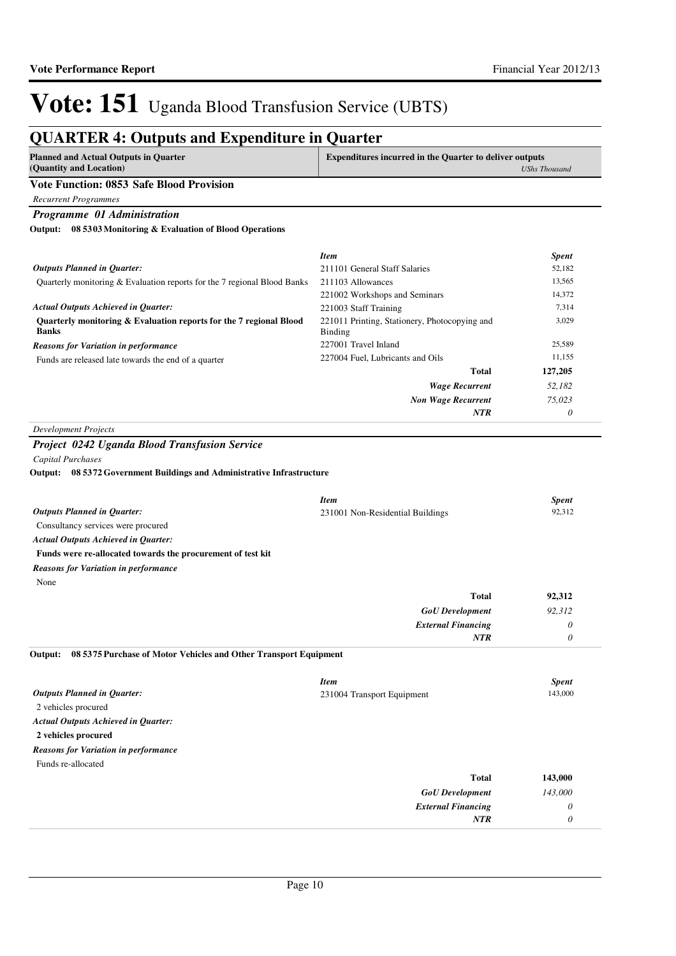### **QUARTER 4: Outputs and Expenditure in Quarter**

| <b>Planned and Actual Outputs in Quarter</b><br>(Quantity and Location)                                                         | <b>Expenditures incurred in the Quarter to deliver outputs</b> | <b>UShs Thousand</b> |
|---------------------------------------------------------------------------------------------------------------------------------|----------------------------------------------------------------|----------------------|
| <b>Vote Function: 0853 Safe Blood Provision</b>                                                                                 |                                                                |                      |
| <b>Recurrent Programmes</b>                                                                                                     |                                                                |                      |
| Programme 01 Administration                                                                                                     |                                                                |                      |
| Output: 08 5303 Monitoring & Evaluation of Blood Operations                                                                     |                                                                |                      |
|                                                                                                                                 | <b>Item</b>                                                    | <b>Spent</b>         |
| <b>Outputs Planned in Quarter:</b>                                                                                              | 211101 General Staff Salaries                                  | 52,182               |
| Quarterly monitoring & Evaluation reports for the 7 regional Blood Banks                                                        | 211103 Allowances                                              | 13,565               |
|                                                                                                                                 | 221002 Workshops and Seminars                                  | 14,372               |
| <b>Actual Outputs Achieved in Quarter:</b>                                                                                      | 221003 Staff Training                                          | 7,314                |
| Quarterly monitoring & Evaluation reports for the 7 regional Blood<br><b>Banks</b>                                              | 221011 Printing, Stationery, Photocopying and<br>Binding       | 3,029                |
| <b>Reasons for Variation in performance</b>                                                                                     | 227001 Travel Inland                                           | 25,589               |
| Funds are released late towards the end of a quarter                                                                            | 227004 Fuel, Lubricants and Oils                               | 11,155               |
|                                                                                                                                 | Total                                                          | 127,205              |
|                                                                                                                                 | <b>Wage Recurrent</b>                                          | 52,182               |
|                                                                                                                                 | <b>Non Wage Recurrent</b>                                      | 75,023               |
|                                                                                                                                 | <b>NTR</b>                                                     | 0                    |
| <b>Development Projects</b>                                                                                                     |                                                                |                      |
| Project 0242 Uganda Blood Transfusion Service                                                                                   |                                                                |                      |
| <b>Capital Purchases</b>                                                                                                        |                                                                |                      |
| Output: 08 5372 Government Buildings and Administrative Infrastructure                                                          |                                                                |                      |
|                                                                                                                                 |                                                                |                      |
|                                                                                                                                 | <b>Item</b>                                                    | <b>Spent</b>         |
|                                                                                                                                 |                                                                |                      |
|                                                                                                                                 | 231001 Non-Residential Buildings                               |                      |
| Consultancy services were procured                                                                                              |                                                                |                      |
|                                                                                                                                 |                                                                |                      |
|                                                                                                                                 |                                                                | 92,312               |
| Funds were re-allocated towards the procurement of test kit                                                                     |                                                                |                      |
|                                                                                                                                 |                                                                |                      |
| None                                                                                                                            |                                                                |                      |
|                                                                                                                                 | <b>Total</b>                                                   | 92,312               |
| <b>Outputs Planned in Quarter:</b><br><b>Actual Outputs Achieved in Quarter:</b><br><b>Reasons for Variation in performance</b> | <b>GoU</b> Development                                         | 92,312               |
|                                                                                                                                 | <b>External Financing</b><br><b>NTR</b>                        | 0<br>0               |

|                                             | <b>Item</b>                | <b>Spent</b> |
|---------------------------------------------|----------------------------|--------------|
| <b>Outputs Planned in Quarter:</b>          | 231004 Transport Equipment | 143,000      |
| 2 vehicles procured                         |                            |              |
| <b>Actual Outputs Achieved in Quarter:</b>  |                            |              |
| 2 vehicles procured                         |                            |              |
| <b>Reasons for Variation in performance</b> |                            |              |
| Funds re-allocated                          |                            |              |
|                                             | <b>Total</b>               | 143,000      |
|                                             | <b>GoU</b> Development     | 143,000      |
|                                             | <b>External Financing</b>  | $\theta$     |
|                                             | <b>NTR</b>                 | $\theta$     |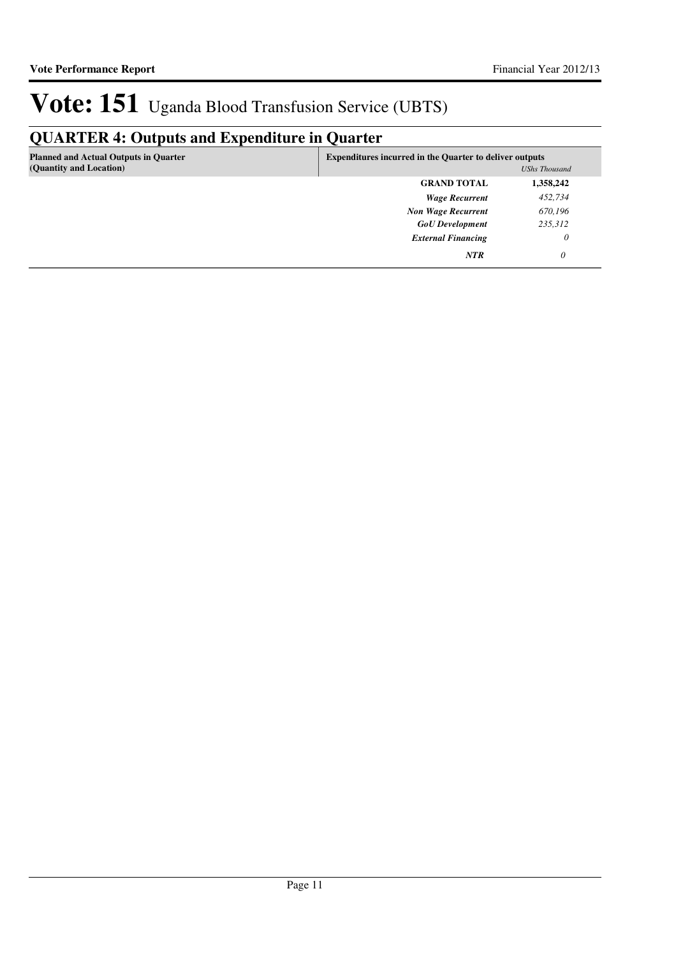## **QUARTER 4: Outputs and Expenditure in Quarter**

| <b>Planned and Actual Outputs in Quarter</b><br>(Quantity and Location) | <b>Expenditures incurred in the Quarter to deliver outputs</b><br><b>UShs Thousand</b> |           |
|-------------------------------------------------------------------------|----------------------------------------------------------------------------------------|-----------|
|                                                                         | <b>GRAND TOTAL</b>                                                                     | 1,358,242 |
|                                                                         | <b>Wage Recurrent</b>                                                                  | 452,734   |
|                                                                         | <b>Non Wage Recurrent</b>                                                              | 670,196   |
|                                                                         | <b>GoU</b> Development                                                                 | 235,312   |
|                                                                         | <b>External Financing</b>                                                              | 0         |
|                                                                         | <b>NTR</b>                                                                             | 0         |